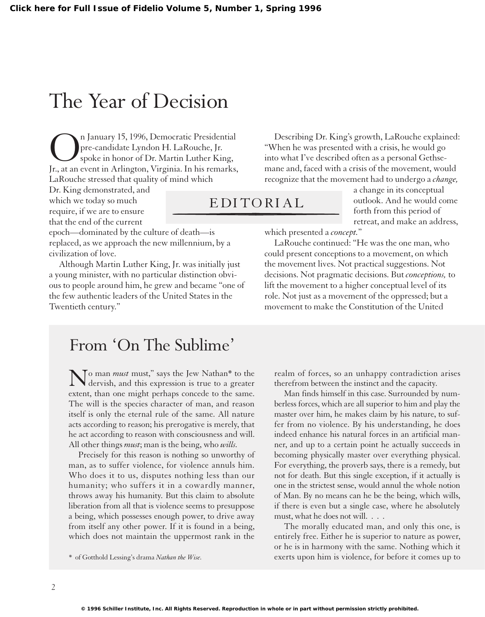## The Year of Decision

On January 15, 1996, Democratic Presidential<br>pre-candidate Lyndon H. LaRouche, Jr.<br>Jr., at an event in Arlington, Virginia. In his remarks pre-candidate Lyndon H. LaRouche, Jr. spoke in honor of Dr. Martin Luther King, Jr., at an event in Arlington, Virginia. In his remarks, LaRouche stressed that quality of mind which

Dr. King demonstrated, and which we today so much require, if we are to ensure that the end of the current

epoch—dominated by the culture of death—is replaced, as we approach the new millennium, by a civilization of love.

Although Martin Luther King, Jr. was initially just a young minister, with no particular distinction obvious to people around him, he grew and became "one of the few authentic leaders of the United States in the Twentieth century."

Describing Dr. King's growth, LaRouche explained: "When he was presented with a crisis, he would go into what I've described often as a personal Gethsemane and, faced with a crisis of the movement, would recognize that the movement had to undergo a *change,*

a change in its conceptual outlook. And he would come EDITORIAL

forth from this period of retreat, and make an address,

which presented a *concept.*"

LaRouche continued: "He was the one man, who could present conceptions to a movement, on which the movement lives. Not practical suggestions. Not decisions. Not pragmatic decisions. But *conceptions,* to lift the movement to a higher conceptual level of its role. Not just as a movement of the oppressed; but a movement to make the Constitution of the United

## From 'On The Sublime'

No man *must* must," says the Jew Nathan\* to the dervish, and this expression is true to a greater extent, than one might perhaps concede to the same. The will is the species character of man, and reason itself is only the eternal rule of the same. All nature acts according to reason; his prerogative is merely, that he act according to reason with consciousness and will. All other things *must*; man is the being, who *wills.*

Precisely for this reason is nothing so unworthy of man, as to suffer violence, for violence annuls him. Who does it to us, disputes nothing less than our humanity; who suffers it in a cowardly manner, throws away his humanity. But this claim to absolute liberation from all that is violence seems to presuppose a being, which possesses enough power, to drive away from itself any other power. If it is found in a being, which does not maintain the uppermost rank in the

realm of forces, so an unhappy contradiction arises therefrom between the instinct and the capacity.

Man finds himself in this case. Surrounded by numberless forces, which are all superior to him and play the master over him, he makes claim by his nature, to suffer from no violence. By his understanding, he does indeed enhance his natural forces in an artificial manner, and up to a certain point he actually succeeds in becoming physically master over everything physical. For everything, the proverb says, there is a remedy, but not for death. But this single exception, if it actually is one in the strictest sense, would annul the whole notion of Man. By no means can he be the being, which wills, if there is even but a single case, where he absolutely must, what he does not will. . . .

The morally educated man, and only this one, is entirely free. Either he is superior to nature as power, or he is in harmony with the same. Nothing which it \* of Gotthold Lessing's drama *Nathan the Wise.* exerts upon him is violence, for before it comes up to